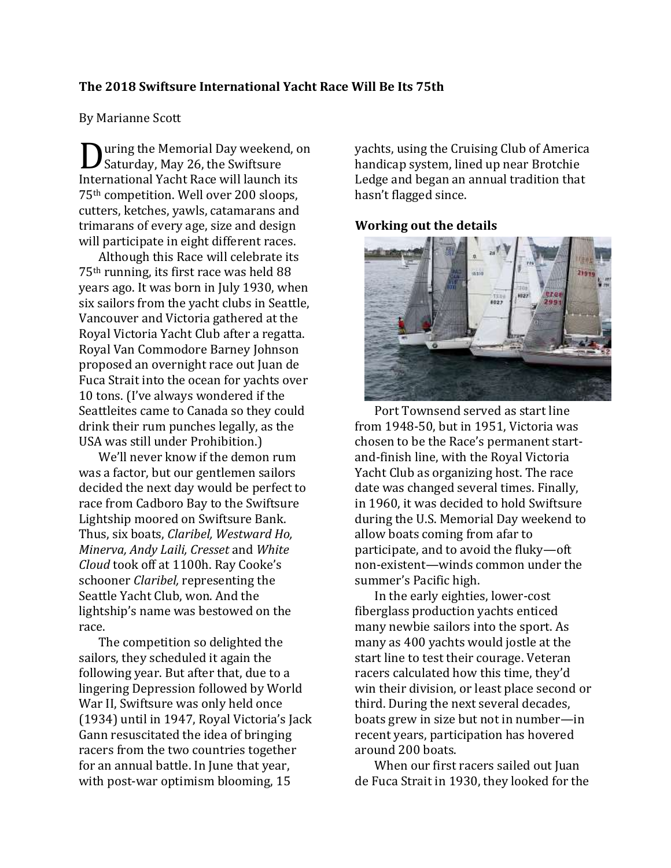## **The 2018 Swiftsure International Yacht Race Will Be Its 75th**

#### By Marianne Scott

uring the Memorial Day weekend, on **D** uring the Memorial Day weeken<br>Saturday, May 26, the Swiftsure International Yacht Race will launch its 75th competition. Well over 200 sloops, cutters, ketches, yawls, catamarans and trimarans of every age, size and design will participate in eight different races.

Although this Race will celebrate its 75th running, its first race was held 88 years ago. It was born in July 1930, when six sailors from the yacht clubs in Seattle, Vancouver and Victoria gathered at the Royal Victoria Yacht Club after a regatta. Royal Van Commodore Barney Johnson proposed an overnight race out Juan de Fuca Strait into the ocean for yachts over 10 tons. (I've always wondered if the Seattleites came to Canada so they could drink their rum punches legally, as the USA was still under Prohibition.)

We'll never know if the demon rum was a factor, but our gentlemen sailors decided the next day would be perfect to race from Cadboro Bay to the Swiftsure Lightship moored on Swiftsure Bank. Thus, six boats, *Claribel, Westward Ho, Minerva, Andy Laili, Cresset* and *White Cloud* took off at 1100h. Ray Cooke's schooner *Claribel,* representing the Seattle Yacht Club, won. And the lightship's name was bestowed on the race.

The competition so delighted the sailors, they scheduled it again the following year. But after that, due to a lingering Depression followed by World War II, Swiftsure was only held once (1934) until in 1947, Royal Victoria's Jack Gann resuscitated the idea of bringing racers from the two countries together for an annual battle. In June that year, with post-war optimism blooming, 15

yachts, using the Cruising Club of America handicap system, lined up near Brotchie Ledge and began an annual tradition that hasn't flagged since.

# **Working out the details**



Port Townsend served as start line from 1948-50, but in 1951, Victoria was chosen to be the Race's permanent startand-finish line, with the Royal Victoria Yacht Club as organizing host. The race date was changed several times. Finally, in 1960, it was decided to hold Swiftsure during the U.S. Memorial Day weekend to allow boats coming from afar to participate, and to avoid the fluky—oft non-existent—winds common under the summer's Pacific high.

In the early eighties, lower-cost fiberglass production yachts enticed many newbie sailors into the sport. As many as 400 yachts would jostle at the start line to test their courage. Veteran racers calculated how this time, they'd win their division, or least place second or third. During the next several decades, boats grew in size but not in number—in recent years, participation has hovered around 200 boats.

When our first racers sailed out Juan de Fuca Strait in 1930, they looked for the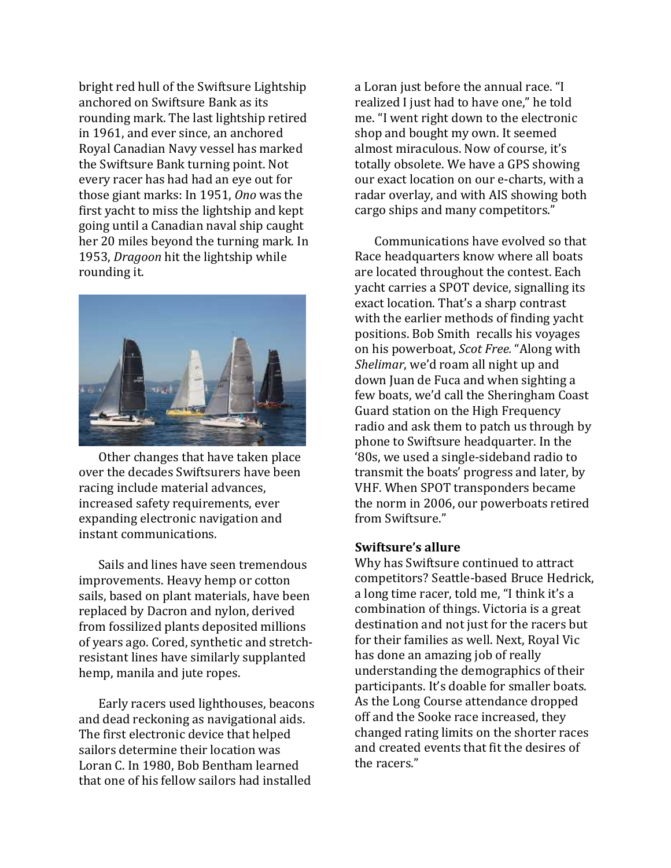bright red hull of the Swiftsure Lightship anchored on Swiftsure Bank as its rounding mark. The last lightship retired in 1961, and ever since, an anchored Royal Canadian Navy vessel has marked the Swiftsure Bank turning point. Not every racer has had had an eye out for those giant marks: In 1951, *Ono* was the first yacht to miss the lightship and kept going until a Canadian naval ship caught her 20 miles beyond the turning mark*.* In 1953, *Dragoon* hit the lightship while rounding it.



Other changes that have taken place over the decades Swiftsurers have been racing include material advances, increased safety requirements, ever expanding electronic navigation and instant communications.

Sails and lines have seen tremendous improvements. Heavy hemp or cotton sails, based on plant materials, have been replaced by Dacron and nylon, derived from fossilized plants deposited millions of years ago. Cored, synthetic and stretchresistant lines have similarly supplanted hemp, manila and jute ropes.

Early racers used lighthouses, beacons and dead reckoning as navigational aids. The first electronic device that helped sailors determine their location was Loran C. In 1980, Bob Bentham learned that one of his fellow sailors had installed

a Loran just before the annual race. "I realized I just had to have one," he told me. "I went right down to the electronic shop and bought my own. It seemed almost miraculous. Now of course, it's totally obsolete. We have a GPS showing our exact location on our e-charts, with a radar overlay, and with AIS showing both cargo ships and many competitors."

Communications have evolved so that Race headquarters know where all boats are located throughout the contest. Each yacht carries a SPOT device, signalling its exact location. That's a sharp contrast with the earlier methods of finding yacht positions. Bob Smith recalls his voyages on his powerboat, *Scot Free.* "Along with *Shelimar*, we'd roam all night up and down Juan de Fuca and when sighting a few boats, we'd call the Sheringham Coast Guard station on the High Frequency radio and ask them to patch us through by phone to Swiftsure headquarter. In the '80s, we used a single-sideband radio to transmit the boats' progress and later, by VHF. When SPOT transponders became the norm in 2006, our powerboats retired from Swiftsure."

## **Swiftsure's allure**

Why has Swiftsure continued to attract competitors? Seattle-based Bruce Hedrick, a long time racer, told me, "I think it's a combination of things. Victoria is a great destination and not just for the racers but for their families as well. Next, Royal Vic has done an amazing job of really understanding the demographics of their participants. It's doable for smaller boats. As the Long Course attendance dropped off and the Sooke race increased, they changed rating limits on the shorter races and created events that fit the desires of the racers."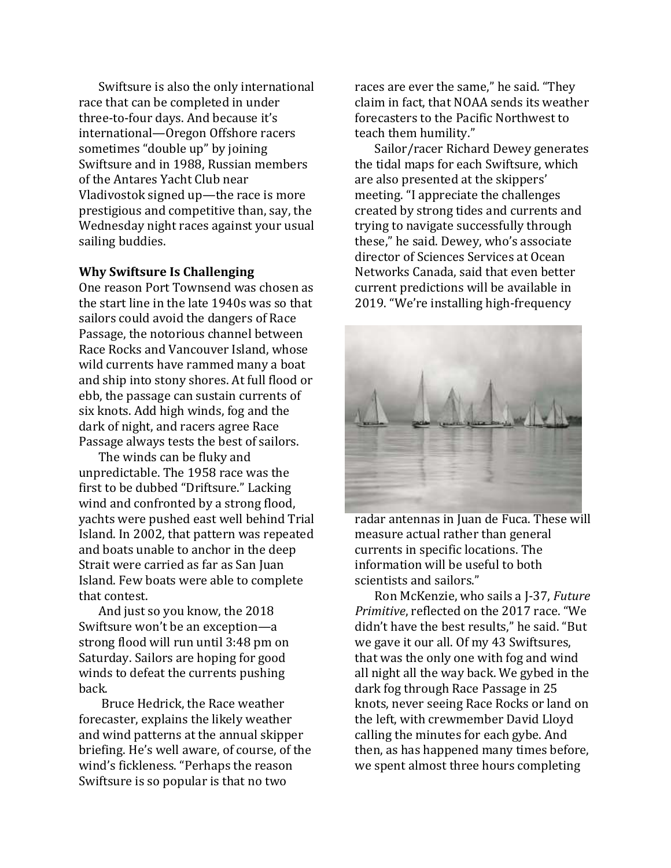Swiftsure is also the only international race that can be completed in under three-to-four days. And because it's international—Oregon Offshore racers sometimes "double up" by joining Swiftsure and in 1988, Russian members of the Antares Yacht Club near Vladivostok signed up—the race is more prestigious and competitive than, say, the Wednesday night races against your usual sailing buddies.

#### **Why Swiftsure Is Challenging**

One reason Port Townsend was chosen as the start line in the late 1940s was so that sailors could avoid the dangers of Race Passage, the notorious channel between Race Rocks and Vancouver Island, whose wild currents have rammed many a boat and ship into stony shores. At full flood or ebb, the passage can sustain currents of six knots. Add high winds, fog and the dark of night, and racers agree Race Passage always tests the best of sailors.

The winds can be fluky and unpredictable. The 1958 race was the first to be dubbed "Driftsure." Lacking wind and confronted by a strong flood, yachts were pushed east well behind Trial Island. In 2002, that pattern was repeated and boats unable to anchor in the deep Strait were carried as far as San Juan Island. Few boats were able to complete that contest.

And just so you know, the 2018 Swiftsure won't be an exception—a strong flood will run until 3:48 pm on Saturday. Sailors are hoping for good winds to defeat the currents pushing back.

Bruce Hedrick, the Race weather forecaster, explains the likely weather and wind patterns at the annual skipper briefing. He's well aware, of course, of the wind's fickleness. "Perhaps the reason Swiftsure is so popular is that no two

races are ever the same," he said. "They claim in fact, that NOAA sends its weather forecasters to the Pacific Northwest to teach them humility."

Sailor/racer Richard Dewey generates the tidal maps for each Swiftsure, which are also presented at the skippers' meeting. "I appreciate the challenges created by strong tides and currents and trying to navigate successfully through these," he said. Dewey, who's associate director of Sciences Services at Ocean Networks Canada, said that even better current predictions will be available in 2019. "We're installing high-frequency



radar antennas in Juan de Fuca. These will measure actual rather than general currents in specific locations. The information will be useful to both scientists and sailors."

Ron McKenzie, who sails a J-37, *Future Primitive*, reflected on the 2017 race. "We didn't have the best results," he said. "But we gave it our all. Of my 43 Swiftsures, that was the only one with fog and wind all night all the way back. We gybed in the dark fog through Race Passage in 25 knots, never seeing Race Rocks or land on the left, with crewmember David Lloyd calling the minutes for each gybe. And then, as has happened many times before, we spent almost three hours completing